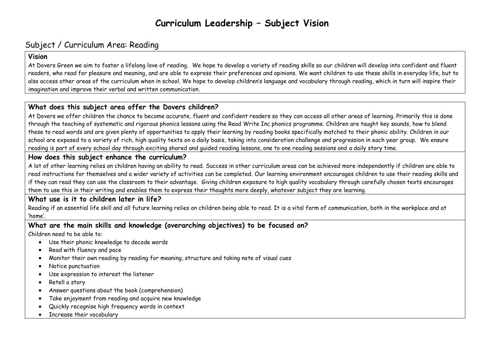# **Curriculum Leadership – Subject Vision**

## Subject / Curriculum Area: Reading

#### **Vision**

At Dovers Green we aim to foster a lifelong love of reading. We hope to develop a variety of reading skills so our children will develop into confident and fluent readers, who read for pleasure and meaning, and are able to express their preferences and opinions. We want children to use these skills in everyday life, but to also access other areas of the curriculum when in school. We hope to develop children's language and vocabulary through reading, which in turn will inspire their imagination and improve their verbal and written communication.

### **What does this subject area offer the Dovers children?**

At Dovers we offer children the chance to become accurate, fluent and confident readers so they can access all other areas of learning. Primarily this is done through the teaching of systematic and rigorous phonics lessons using the Read Write Inc phonics programme. Children are taught key sounds, how to blend these to read words and are given plenty of opportunities to apply their learning by reading books specifically matched to their phonic ability. Children in our school are exposed to a variety of rich, high quality texts on a daily basis, taking into consideration challenge and progression in each year group. We ensure reading is part of every school day through exciting shared and guided reading lessons, one to one reading sessions and a daily story time.

### **How does this subject enhance the curriculum?**

A lot of other learning relies on children having an ability to read. Success in other curriculum areas can be achieved more independently if children are able to read instructions for themselves and a wider variety of activities can be completed. Our learning environment encourages children to use their reading skills and if they can read they can use the classroom to their advantage. Giving children exposure to high quality vocabulary through carefully chosen texts encourages them to use this in their writing and enables them to express their thoughts more deeply, whatever subject they are learning.

#### **What use is it to children later in life?**

Reading if an essential life skill and all future learning relies on children being able to read. It is a vital form of communication, both in the workplace and at 'home'.

#### **What are the main skills and knowledge (overarching objectives) to be focused on?**

Children need to be able to:

- Use their phonic knowledge to decode words
- Read with fluency and pace
- Monitor their own reading by reading for meaning, structure and taking note of visual cues
- Notice punctuation
- Use expression to interest the listener
- Retell a story
- Answer questions about the book (comprehension)
- Take enjoyment from reading and acquire new knowledge
- Quickly recognise high frequency words in context
- Increase their vocabulary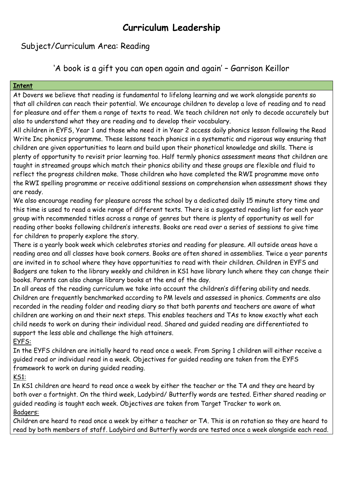# **Curriculum Leadership**

## Subject/Curriculum Area: Reading

'A book is a gift you can open again and again' – Garrison Keillor

#### **Intent**

At Dovers we believe that reading is fundamental to lifelong learning and we work alongside parents so that all children can reach their potential. We encourage children to develop a love of reading and to read for pleasure and offer them a range of texts to read. We teach children not only to decode accurately but also to understand what they are reading and to develop their vocabulary.

All children in EYFS, Year 1 and those who need it in Year 2 access daily phonics lesson following the Read Write Inc phonics programme. These lessons teach phonics in a systematic and rigorous way ensuring that children are given opportunities to learn and build upon their phonetical knowledge and skills. There is plenty of opportunity to revisit prior learning too. Half termly phonics assessment means that children are taught in streamed groups which match their phonics ability and these groups are flexible and fluid to reflect the progress children make. Those children who have completed the RWI programme move onto the RWI spelling programme or receive additional sessions on comprehension when assessment shows they are ready.

We also encourage reading for pleasure across the school by a dedicated daily 15 minute story time and this time is used to read a wide range of different texts. There is a suggested reading list for each year group with recommended titles across a range of genres but there is plenty of opportunity as well for reading other books following children's interests. Books are read over a series of sessions to give time for children to properly explore the story.

There is a yearly book week which celebrates stories and reading for pleasure. All outside areas have a reading area and all classes have book corners. Books are often shared in assemblies. Twice a year parents are invited in to school where they have opportunities to read with their children. Children in EYFS and Badgers are taken to the library weekly and children in KS1 have library lunch where they can change their books. Parents can also change library books at the end of the day.

In all areas of the reading curriculum we take into account the children's differing ability and needs. Children are frequently benchmarked according to PM levels and assessed in phonics. Comments are also recorded in the reading folder and reading diary so that both parents and teachers are aware of what children are working on and their next steps. This enables teachers and TAs to know exactly what each child needs to work on during their individual read. Shared and guided reading are differentiated to support the less able and challenge the high attainers.

EYFS:

In the EYFS children are initially heard to read once a week. From Spring 1 children will either receive a guided read or individual read in a week. Objectives for guided reading are taken from the EYFS framework to work on during guided reading.

KS1:

In KS1 children are heard to read once a week by either the teacher or the TA and they are heard by both over a fortnight. On the third week, Ladybird/ Butterfly words are tested. Either shared reading or guided reading is taught each week. Objectives are taken from Target Tracker to work on. Badgers:

Children are heard to read once a week by either a teacher or TA. This is on rotation so they are heard to read by both members of staff. Ladybird and Butterfly words are tested once a week alongside each read.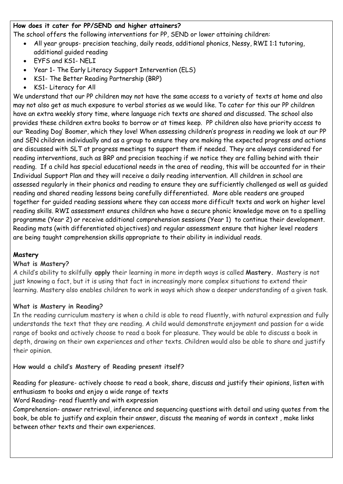#### **How does it cater for PP/SEND and higher attainers?**

The school offers the following interventions for PP, SEND or lower attaining children:

- All year groups- precision teaching, daily reads, additional phonics, Nessy, RWI 1:1 tutoring, additional guided reading
- EYFS and KS1- NELI
- Year 1- The Early Literacy Support Intervention (ELS)
- KS1- The Better Reading Partnership (BRP)
- KS1- Literacy for All

We understand that our PP children may not have the same access to a variety of texts at home and also may not also get as much exposure to verbal stories as we would like. To cater for this our PP children have an extra weekly story time, where language rich texts are shared and discussed. The school also provides these children extra books to borrow or at times keep. PP children also have priority access to our 'Reading Dog' Boomer, which they love! When assessing children's progress in reading we look at our PP and SEN children individually and as a group to ensure they are making the expected progress and actions are discussed with SLT at progress meetings to support them if needed. They are always considered for reading interventions, such as BRP and precision teaching if we notice they are falling behind with their reading. If a child has special educational needs in the area of reading, this will be accounted for in their Individual Support Plan and they will receive a daily reading intervention. All children in school are assessed regularly in their phonics and reading to ensure they are sufficiently challenged as well as guided reading and shared reading lessons being carefully differentiated. More able readers are grouped together for guided reading sessions where they can access more difficult texts and work on higher level reading skills. RWI assessment ensures children who have a secure phonic knowledge move on to a spelling programme (Year 2) or receive additional comprehension sessions (Year 1) to continue their development. Reading mats (with differentiated objectives) and regular assessment ensure that higher level readers are being taught comprehension skills appropriate to their ability in individual reads.

#### **Mastery**

#### **What is Mastery?**

A child's ability to skilfully **apply** their learning in more in‐depth ways is called **Mastery.** Mastery is not just knowing a fact, but it is using that fact in increasingly more complex situations to extend their learning. Mastery also enables children to work in ways which show a deeper understanding of a given task.

#### **What is Mastery in Reading?**

In the reading curriculum mastery is when a child is able to read fluently, with natural expression and fully understands the text that they are reading. A child would demonstrate enjoyment and passion for a wide range of books and actively choose to read a book for pleasure. They would be able to discuss a book in depth, drawing on their own experiences and other texts. Children would also be able to share and justify their opinion.

#### **How would a child's Mastery of Reading present itself?**

Reading for pleasure- actively choose to read a book, share, discuss and justify their opinions, listen with enthusiasm to books and enjoy a wide range of texts

Word Reading- read fluently and with expression

Comprehension- answer retrieval, inference and sequencing questions with detail and using quotes from the book, be able to justify and explain their answer, discuss the meaning of words in context , make links between other texts and their own experiences.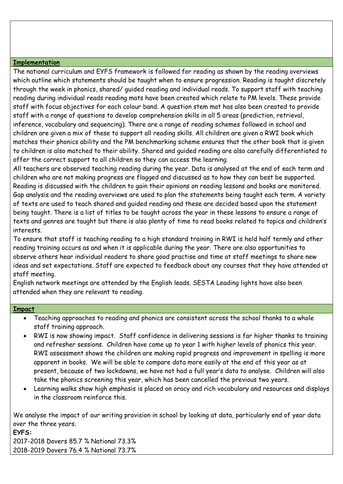#### **Implementation**

The national curriculum and EYFS framework is followed for reading as shown by the reading overviews which outline which statements should be taught when to ensure progression. Reading is taught discretely through the week in phonics, shared/ guided reading and individual reads. To support staff with teaching reading during individual reads reading mats have been created which relate to PM levels. These provide staff with focus objectives for each colour band. A question stem mat has also been created to provide staff with a range of questions to develop comprehension skills in all 5 areas (prediction, retrieval, inference, vocabulary and sequencing). There are a range of reading schemes followed in school and children are given a mix of these to support all reading skills. All children are given a RWI book which matches their phonics ability and the PM benchmarking scheme ensures that the other book that is given to children is also matched to their ability. Shared and guided reading are also carefully differentiated to offer the correct support to all children so they can access the learning.

All teachers are observed teaching reading during the year. Data is analysed at the end of each term and children who are not making progress are flagged and discussed as to how they can best be supported. Reading is discussed with the children to gain their opinions on reading lessons and books are monitored. Gap analysis and the reading overviews are used to plan the statements being taught each term. A variety of texts are used to teach shared and guided reading and these are decided based upon the statement being taught. There is a list of titles to be taught across the year in these lessons to ensure a range of texts and genres are taught but there is also plenty of time to read books related to topics and children's interests.

To ensure that staff is teaching reading to a high standard training in RWI is held half termly and other reading training occurs as and when it is applicable during the year. There are also opportunities to observe others hear individual readers to share good practise and time at staff meetings to share new ideas and set expectations. Staff are expected to feedback about any courses that they have attended at staff meeting.

English network meetings are attended by the English leads. SESTA Leading lights have also been attended when they are relevant to reading.

#### **Impact**

- Teaching approaches to reading and phonics are consistent across the school thanks to a whole staff training approach.
- RWI is now showing impact. Staff confidence in delivering sessions is far higher thanks to training and refresher sessions. Children have come up to year 1 with higher levels of phonics this year. RWI assessment shows the children are making rapid progress and improvement in spelling is more apparent in books. We will be able to compare data more easily at the end of this year as at present, because of two lockdowns, we have not had a full year's data to analyse. Children will also take the phonics screening this year, which has been cancelled the previous two years.
- Learning walks show high emphasis is placed on oracy and rich vocabulary and resources and displays in the classroom reinforce this.

We analyse the impact of our writing provision in school by looking at data, particularly end of year data over the three years.

**EYFS:** 2017-2018 Dovers 85.7 % National 73.3% 2018-2019 Dovers 76.4 % National 73.7%